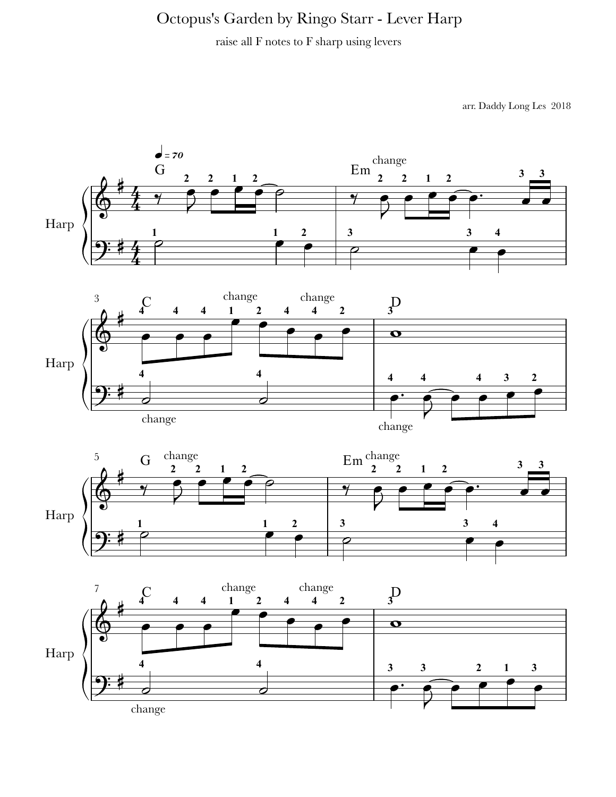## Octopus's Garden by Ringo Starr - Lever Harp

raise all F notes to F sharp using levers

arr. Daddy Long Les 2018